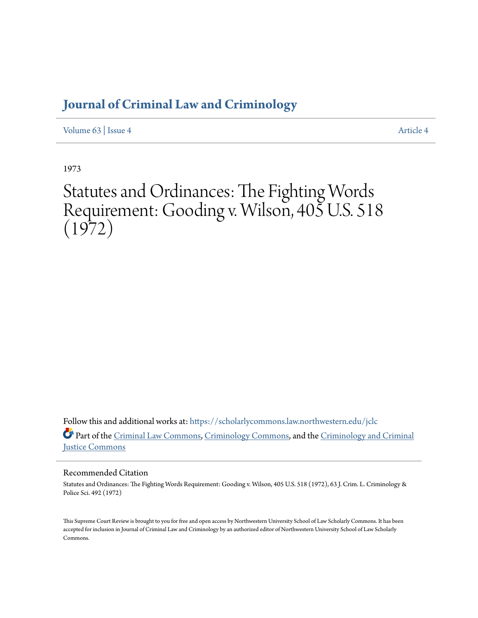# **[Journal of Criminal Law and Criminology](https://scholarlycommons.law.northwestern.edu/jclc?utm_source=scholarlycommons.law.northwestern.edu%2Fjclc%2Fvol63%2Fiss4%2F4&utm_medium=PDF&utm_campaign=PDFCoverPages)**

[Volume 63](https://scholarlycommons.law.northwestern.edu/jclc/vol63?utm_source=scholarlycommons.law.northwestern.edu%2Fjclc%2Fvol63%2Fiss4%2F4&utm_medium=PDF&utm_campaign=PDFCoverPages) | [Issue 4](https://scholarlycommons.law.northwestern.edu/jclc/vol63/iss4?utm_source=scholarlycommons.law.northwestern.edu%2Fjclc%2Fvol63%2Fiss4%2F4&utm_medium=PDF&utm_campaign=PDFCoverPages) [Article 4](https://scholarlycommons.law.northwestern.edu/jclc/vol63/iss4/4?utm_source=scholarlycommons.law.northwestern.edu%2Fjclc%2Fvol63%2Fiss4%2F4&utm_medium=PDF&utm_campaign=PDFCoverPages)

1973

# Statutes and Ordinances: The Fighting Words Requirement: Gooding v. Wilson, 405 U.S. 518  $(1972)$

Follow this and additional works at: [https://scholarlycommons.law.northwestern.edu/jclc](https://scholarlycommons.law.northwestern.edu/jclc?utm_source=scholarlycommons.law.northwestern.edu%2Fjclc%2Fvol63%2Fiss4%2F4&utm_medium=PDF&utm_campaign=PDFCoverPages) Part of the [Criminal Law Commons](http://network.bepress.com/hgg/discipline/912?utm_source=scholarlycommons.law.northwestern.edu%2Fjclc%2Fvol63%2Fiss4%2F4&utm_medium=PDF&utm_campaign=PDFCoverPages), [Criminology Commons](http://network.bepress.com/hgg/discipline/417?utm_source=scholarlycommons.law.northwestern.edu%2Fjclc%2Fvol63%2Fiss4%2F4&utm_medium=PDF&utm_campaign=PDFCoverPages), and the [Criminology and Criminal](http://network.bepress.com/hgg/discipline/367?utm_source=scholarlycommons.law.northwestern.edu%2Fjclc%2Fvol63%2Fiss4%2F4&utm_medium=PDF&utm_campaign=PDFCoverPages) [Justice Commons](http://network.bepress.com/hgg/discipline/367?utm_source=scholarlycommons.law.northwestern.edu%2Fjclc%2Fvol63%2Fiss4%2F4&utm_medium=PDF&utm_campaign=PDFCoverPages)

### Recommended Citation

Statutes and Ordinances: The Fighting Words Requirement: Gooding v. Wilson, 405 U.S. 518 (1972), 63 J. Crim. L. Criminology & Police Sci. 492 (1972)

This Supreme Court Review is brought to you for free and open access by Northwestern University School of Law Scholarly Commons. It has been accepted for inclusion in Journal of Criminal Law and Criminology by an authorized editor of Northwestern University School of Law Scholarly Commons.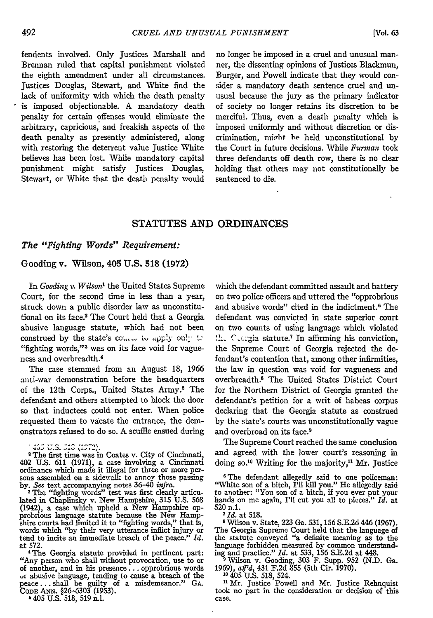fendents involved. Only Justices Marshall and Brennan ruled that capital punishment violated the eighth amendment under all circumstances. Justices Douglas, Stewart, and White find the lack of uniformity with which the death penalty is imposed objectionable. A mandatory death penalty for certain offenses would eliminate the arbitrary, capricious, and freakish aspects of the death penalty as presently administered, along with restoring the deterrent value Justice White believes has been lost. While mandatory capital punishment might satisfy Justices Douglas: Stewart, or White that the death penalty would

no longer be imposed in a cruel and unusual manner, the dissenting opinions of Justices Blackmun, Burger, and Powell indicate that they would consider a mandatory death sentence cruel and unusual because the jury as the primary indicator of society no longer retains its discretion to be merciful. Thus, even a death penalty which is imposed uniformly and without discretion or discrimination, might he held unconstitutional by the Court in future decisions. While *Furman* took three defendants off death row, there is no clear holding that others may not constitutionally be sentenced to die.

#### **STATUTES AND ORDINANCES**

#### *The "Fighting Words" Requirement:*

#### Gooding v. Wilson, 405 U.S. 518 (1972)

In *Gooding v. Wilson1* the United States Supreme Court, for the second time in less than a year, struck down a public disorder law as unconstitutional on its face.2 The Court held that a Georgia abusive language statute, which had not been construed by the state's come to apply on!y to "fighting words,"<sup>3</sup> was on its face void for vagueness and overbreadth.4

The case stemmed from an August 18, 1966 anti-war demonstration before the headquarters of the 12th Corps., United States Army.<sup>5</sup> The defendant and others attempted to block the door so that inductees could not enter. When police requested them to vacate the entrance, the demonstrators refused to do so. A scuffle ensued during

(1942), a case which upheld a New Hampshire op- probrious language statute because the New Hamp- shire courts had limited it to "fighting words," that *is,* words which "by their very utterance inflict injury or tend to incite an immediate breach of the peace." *Id.* tend to incite an immediate breach of the peace."  $Id$ . at 572.

4The Georgia statute provided in pertinent part: "Any person who shall without provocation, use to or of another, and in his presence... opprobrious words **.,r** abusive language, tending to cause a breach of the peace **...** shall be guilty of a misdemeanor." GA. **CODE** Am. §26-6303 (1953).

5 405 U.S. 518, 519 n.l.

which the defendant committed assault and battery on two police officers and uttered the "opprobrious and abusive words" cited in the indictment.6 The defendant was convicted in state superior court on two counts of using language which violated  $\therefore$  Congia statute.<sup>7</sup> In affirming his conviction, the Supreme Court of Georgia rejected the defendant's contention that, among other infirmities, the law in question was void for vagueness and overbreadth.<sup>8</sup> The United States District Court for the Northern District of Georgia granted the defendant's petition for a writ of habeas corpus declaring that the Georgia statute as construed by the state's courts was unconstitutionally vague and overbroad on its face.<sup>9</sup>

The Supreme Court reached the same conclusion and agreed with the lower court's reasoning in doing so.<sup>10</sup> Writing for the majority,<sup>11</sup> Mr. Justice

6The defendant allegedly said to one policeman: "White son of a bitch, I'll kill you." He allegedly said to another: "You son of a bitch, **if** you ever put your hands on me again, I'll cut you all to pieces." *Id.* at hands on me again, I'll cut you all to pieces."  $I\bar{d}$ , at 520 n.1.

*7Id.* at 518.

**<sup>8</sup>**Wilson v. State, 223 Ga. 531, 156 S.E.2d 446 (1967). The Georgia Supreme Court held that the language of the statute conveyed "a definite meaning as to the language forbidden measured by common understand-

ing and practice." *Id.* at 533, 156 S.E.2d at 448.<br>
<sup>3</sup> Wilson v. Gooding, 303 F. Supp. 952 (N.D. Ga. 1969),  $af^3d$ , 431 F.2d 855 (5th Cir. 1970).<br>
<sup>10</sup> 405 U.S. 518, 524.<br>
<sup>11</sup> Mr. Justice Powell and Mr. Justice Rehnqui

took no part in the consideration or decision of this case.

<sup>1465</sup> U.S. 518 (1972).<br><sup>2</sup> The first time was in Coates v. City of Cincinnati, 402 U.S. 611 (1971), a case involving a Cincinnati cordinance which made it illegal for three or more per-<br>sons assembled on a sidewalk to annoy those passing<br>by. See text accompanying notes 36–40 *infra*.<br>3 The "fighting words" test was first clearly articu-<br>lated in Chap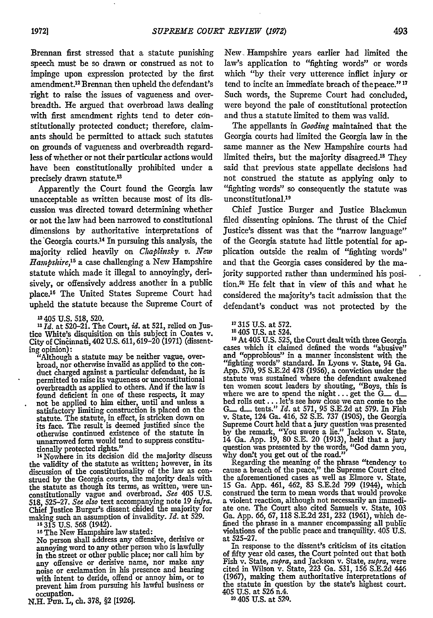Brennan first stressed that a statute punishing speech must be so drawn or construed as not to impinge upon expression protected by the first amendment.<sup>12</sup> Brennan then upheld the defendant's right to raise the issues of vagueness and overbreadth. He argued that overbroad laws dealing with first amendment rights tend to deter constitutionally protected conduct; therefore, claimants should be permitted to attack such statutes on grounds of vagueness and overbreadth regardless of whether or not their particular actions would have been constitutionally prohibited under a precisely drawn statute.<sup>13</sup>

Apparently the Court found the Georgia law unacceptable as written because most of its discussion was directed toward determining whether or not the law had been narrowed to constitutional dimensions by authoritative interpretations of the Georgia courts.<sup>14</sup> In pursuing this analysis, the majority relied heavily on *Chaplinsky v. New Hampshire,15* a case challenging a New Hampshire statute which made it illegal to annoyingly, derisively, or offensively address another in a public place.16 The United States Supreme Court had upheld the statute because the Supreme Court of

**1 405** U.S. 518, 520. *IsId.* at 520-21. The Court, *id.* at 521, relied on Justice White's disquisition on this subject in Coates v.<br>City of Cincinnati, 402 U.S. 611, 619-20 (1971) (dissent-

ing opinion): "Although a statute may be neither vague, overbroad, nor otherwise invalid as applied to the con- duct charged against a particular defendant, he is permitted to raise its vagueness or unconstitutional overbreadth as applied to others. And if the law is found deficient in one of these respects, it may not be applied to him either, until and unless a satisfactory limiting construction is placed on the statute. The statute, in effect, is stricken down on its face. The result is deemed justified since the otherwise continued existence of the statute in unnarrowed form would tend to suppress constitutionally protected rights."

14Nowhere in its decision did the majority discuss the validity of the statute as written; however, in its discussion of the constitutionality of the law as construed by the Georgia courts, the majority deals with the statute as though its terms, as written, were unconstitutionally vague and overbroad. *See* 405 U.S. 518, 525-27. *See also* text accompanying note 19 *ifria.* Chief Justice Burger's dissent chided the majority for making such an assumption of invalidity. *Id.* at 529.

**is** 315 U.S. 568 (1942).

**<sup>16</sup>**The New Hampshire law stated:

No person shall address any offensive, derisive or annoying word to any other person who is lawfully in the street or other public place; nor call him by any offensive or derisive name, nor make any noise or exclamation in his presence and hearing with intent to deride, offend or annoy him, or to prevent him from pursuing his lawful business or occupation.

**N.H.** Pu. L, ch. **378,** §2 [1926].

New- Hampshire years earlier had limited the law's application to "fighting words" or words which "by their very utterence inflict injury or tend to incite an immediate breach of thepeace." **<sup>7</sup>** Such words, the Supreme Court had concluded, were beyond the pale of constitutional protection and thus a statute limited to them was valid.

The appellants in *Gooding* maintained that the Georgia courts had limited the Georgia law in the same manner as the New Hampshire courts had limited theirs, but the majority disagreed.'8 They said that previous state appellate decisions had not construed the statute as applying only to "fighting words" so consequently the statute was unconstitutional.<sup>19</sup>

Chief Justice Burger and Justice Blackmun filed dissenting opinions. The thrust of the Chief Justice's dissent was that the "narrow language" of the Georgia statute had little potential for application outside the realm of "fighting words" and that the Georgia cases considered by the majority supported rather than undermined his position.<sup>26</sup> He felt that in view of this and what he considered the majority's tacit admission that the defendant's conduct was not protected by the

- "315 U.S. at 572.
- **<sup>18</sup>**405 **U.S.** at 524.

**<sup>9</sup>**At 405 U.S. 525, the Court dealt with three Georgia cases which it claimed defined the words "abusive" and "opprobious" in a manner inconsistent with the "fighting words" standard. In Lyons v. State, 94 Ga. App. 570, 95 S.E.2d **478** (1956), a conviction under the statute was sustained where the defendant awakened ten women scout leaders by shouting, "Boys, this is where we are to spend the night.., get the **G\_** d\_ bed rolls out... let's see how close we can come to the **G\_** d\_. tents." *Id.* at 571, **95** S.E.2d at 579. In Fish v. State, 124 Ga. 416, 52 S.E. 737 (1905), the Georgia Supreme Court held that a jury question was presented by the remark, "You swore a lie." Jackson v. State, 14 Ga. App. **19, 80** S.E. 20 (1913), held that a jury question was presented by the words, "God damn you, why don't you get out of the road."

Regarding the meaning of the phrase "tendency to cause a breach of the peace," the Supreme Court cited<br>the aforementioned cases as well as Elmore v. State,<br>15 Ga. App. 461, 462, 83 S.E.2d 799 (1944), which construed the term to mean words that would provoke a violent reaction, although not necessarily an immediate one. The Court also cited Samuels v. State, 103 Ga. App. 66, **67,** 118 S.E.2d 231, 232 (1961), which defined the phrase in a manner encompassing all public violations of the public peace and tranquility. 405 U.S. at 525-27.

In response to the dissent's criticism of its citation of fifty year old cases, the Court pointed out that both Fish v. State, *supra,* and Jackson v. State, *supra,* were cited in Wilson v. State, 223 Ga. 531, 156 S.E.2d 446 (1967), making them authoritative interpretations of the statute in question by the state's highest court.<br>405 U.S. at 526 n.4.<br><sup>20</sup> 405 U.S. at 520.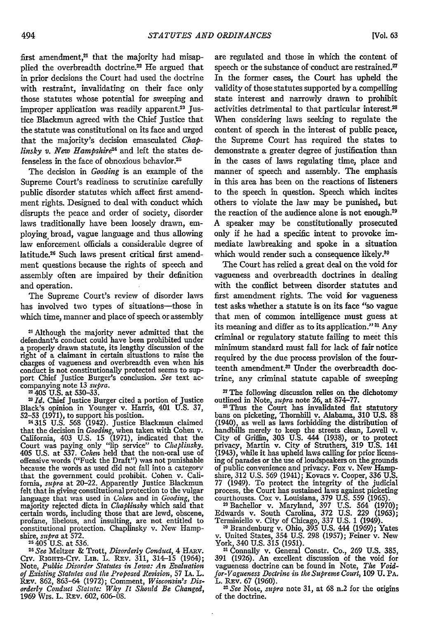*[Vol. 63*

first amendment, $21$  that the majority had misapplied the overbreadth doctrine.<sup>22</sup> He argued that in prior decisions the Court had used the doctrine with restraint, invalidating on their face only those statutes whose potential for sweeping and improper application was readily apparent.<sup>23</sup> Justice Blackmun agreed with the Chief justice that the statute was constitutional on its face and urged that the majority's decision emasculated *Chaplinsky v. New Hampshire*<sup>24</sup> and left the states defenseless in the face of obnoxious behavior.<sup>25</sup>

The decision in *Gooding* is an example of the Supreme Court's readiness to scrutinize carefully public disorder statutes which affect first amendment rights. Designed to deal with conduct which disrupts the peace and order of society, disorder laws traditionally have been loosely drawn, employing, broad, vague language and thus allowing law enforcement officials a considerable degree of latitude.26 Such laws present critical first amendment questions because the rights of speech and assembly often are impaired by their definition and operation.

The Supreme Court's review of disorder laws has involved two types of situations-those in which time, manner and place of speech or assembly

21 Although the majority never admitted that the defendant's conduct could have been prohibited under a properly drawn statute, its lengthy discussion of the right of a claimant in certain situations to raise the charges of vagueness and overbreadth even when his conduct is not constitutionally protected seems to support Chief Justice Burger's conclusion. *See* text ac- companying note 13 *supra.* 2 405 U.S. at 530-33.

**<sup>2</sup>***Id.* Chief Justice Burger cited a portion of Justice Black's opinion in Younger v. Harris, 401 U.S. 37, 52-53 (1971), to support his position.

**24315** U.S. 568 (1942). Justice Blackmun claimed that the decision in *Gooding*, when taken with Cohen v.<br>California, 403 U.S. 15 (1971), indicated that the<br>Court was paying only "lip service" to *Cluttinsky*.<br>405 U.S. at 537. *Cohen* held that the non-oral use of offensive words ("Fuck the Draft") was not punishable because the words as used did not fall into a category that the government could prohibit. Cohen v. Calithat the government could prohibit. Cohen v. California, *supra* at 20-22. Apparently Justice Blackmun felt that in giving constitutional protection to the vulgar language that was used in *Cohen* and in *Gooding, the* majority rejected dicta in *Chaplinsky* which said that certain words, including those that are lewd, obscene, profane, libelous, and insulting, are not entitled to constitutional protection. Chaplinsky v. New Hamp-<br>shire, *supra* at 572. **25** 405 U.S. at 536.

*<sup>26</sup>See* Meltzer & Trott, *Disorderly Conduct,* 4 HARv. Civ. RIGHTs-Civ. LIB. L. REv. 311, 314-15 (1964); Note, *Public Disorder Statutes in Iowa: An Evaluation of Existing Statutes and the Proposed Revision,* 57 IA. L. Rav. 862, 863-64 (1972); Comment, *Wisconsin's Dis-orderly Conduct Statute: Why It Should Be Changed,* 1969 Wis. L. REv. 602, 606-08.

are regulated and those in which the content of speech or the substance of conduct are restrained.<sup>27</sup> In the former cases, the Court has upheld the validity of those statutes supported by a compelling state interest and narrowly drawn to prohibit activities detrimental to that particular interest.<sup>28</sup> When considering laws seeking to regulate the content of speech in the interest of public peace, the Supreme Court has required the states to demonstrate a greater degree of justification than in the cases of laws regulating time, place and manner of speech and assembly. The emphasis in this area has been on the reactions of listeners to the speech in question. Speech which incites others to violate the law may be punished, but the reaction of the audience alone is not enough.<sup>29</sup> A speaker may be constitutionally prosecuted only **if** he had a specific intent to provoke immediate lawbreaking and spoke in a situation which would render such a consequence likely.<sup>30</sup>

The Court has relied a great deal on the void for vagueness and overbreadth doctrines in dealing with the conflict between disorder statutes and first amendment rights. The void for vagueness test asks whether a statute is on its face "so vague that men of common intelligence must guess at its meaning and differ as to its application."<sup>31</sup> Any criminal or regulatory statute failing to meet this minimum standard must fall for lack of fair notice required by the due process provision of the fourteenth amendment.<sup>32</sup> Under the overbreadth doctrine, any criminal statute capable of sweeping

**<sup>27</sup>**The following discussion relies on the dichotomy outlined in Note, *supra* note 26, at 874-77.

<sup>28</sup> Thus the Court has invalidated flat statutory bans on picketing, Thornhill v. Alabama, 310 U.S. 88 (1940), as well as laws forbidding the distribution of handbills merely to keep the streets clean, Lovell v. City of Griffin, **303** U.S. 444 (1938), or to protect privacy, Martin v. City of Struthers, 319 U.S. 141 (1943), while it has upheld laws calling for prior licens-ing of parades or the use of loudspeakers on the grounds of public convenience and privacy. Fox v. New Hampshire, **312** U.S. 569 (1941); Kovacs v. Cooper, 336 U.S. 77 (1949). To protect the integrity of the judicial process, the Court has sustained laws against picketing courthouses. Cox v. Louisiana, 379 U.S. 559 (1965). **29** Bachellor v. Maryland, 397 U.S. 564 (1970);

Edwards v. South Carolina, 372 U.S. 229 (1963); Terminiello v. City of Chicago, 337 U.S. 1 (1949).

**<sup>30</sup>**Brandenburg v. Ohio, **395** U.S. 444 (1969); Yates v. United States, 354 U.S. 298 (1957); Feiner v. New

York, 340 U.S. 315 (1951). **31** Connally v. General Constr. Co., 269 U.S. 385, 391 (1926). An excellent discussion of the void for vagueness doctrine can be found in Note, *The Voidfor-Vagueness Doctrine in the Supreme Court,* 109 **U. PA.** L. REv. 67 (1960).

**<sup>2</sup>***See* Note, *supra* note 31, at 68 n.2 for the origins of the doctrine.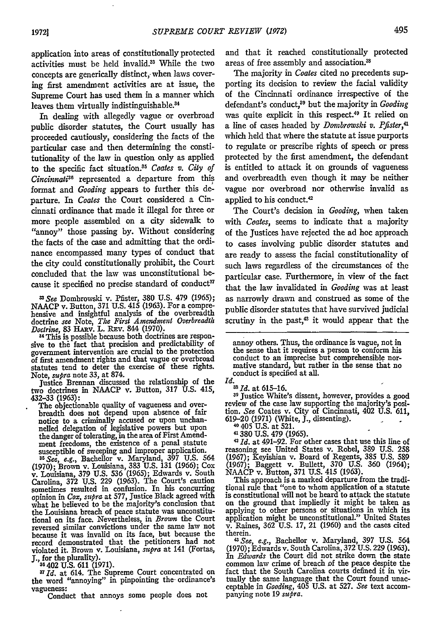application into areas of constitutionally protected activities must be held invalid.<sup>33</sup> While the two concepts are generically distinct, when laws covering first amendment activities are at issue, the Supreme Court has used them in a manner which leaves them virtually indistinguishable.<sup>34</sup>

In dealing with allegedly vague or overbroad public disorder statutes, the Court usually has proceeded cautiously, considering the facts of the particular case and then determining the constitutionality of the law in question only as applied to the specific fact situation.35 *Coates v. City of Cincinnati"'* represented a departure from this format and *Gooding* appears to further this departure. In *Coates* the Court considered a Cincinnati ordinance that made it illegal for three or more people assembled on a city sidewalk to "annoy" those passing by. Without considering the facts of the case and admitting that the ordinance encompassed many types of conduct that the city could constitutionally prohibit, the Court concluded that the law was unconstitutional because it specified no precise standard of conduct<sup>37</sup>

*33See* Dombrowski v. Pfister, 380 U.S. 479 (1965); NAACP v. Button, 371 U.S. 415 (1963). For a comprehensive and insightful analysis of the overbreadth doctrine see Note, *The First Amendment Overbreadth Doctrine,* 83 HARv. L. REv. 844 (1970). 84 This is possible because both doctrines are respon-

sive to the fact that precision and predictability of government intervention are crucial to the protection of first amendment rights and that vague or overbroad statutes tend to deter the exercise of these rights.

Note, *supra* note 33, at 874.<br>
Justice Brennan discussed the relationship of the<br>
two doctrines in NAACP v. Button, 317 U.S. 415,<br>
432-33 (1963):

The objectionable quality of vagueness and overbreadth does not depend upon absence of fair notice to a criminally accused or upon unchannelled delegation of legislative powers but upon the danger of tolerating, in the area of First Amend-ment freedoms, the existence of a penal statute susceptible of sweeping and improper application. *35See, e.g.,* Bachellor v. Maryland, **397** U.S. 564

(1970); Brown v. Louisiana, 383 U.S. 131 (1966); Cox v. Louisiana, 379 U.S. 536 (1965); Edwards v. South Carolina, 372 U.S. 229 (1963). The Court's caution sometimes resulted in confusion. In his concurring opinion in *Cox, supra* at 577, Justice Black agreed with what he believed to be the majority's conclusion that the Louisiana breach of peace statute was unconstitutional on its face. Nevertheless, in *Brown* the Court reversed similar convictions under the same law not because it was invalid on its face, but because the record demonstrated that the petitioners had not violated it. Brown v. Louisiana, *supra* at 141 (Fortas, **J., for the plurality).**<br><sup>36</sup> 402 U.S. 611 (1971).

*37Id.* at 614. The Supreme Court concentrated on the word "annoying" in pinpointing the ordinance's vagueness:

Conduct that annoys some people does not

and that it reached constitutionally protected areas of free assembly and association.<sup>33</sup>

The majority in *Coates* cited no precedents supporting its decision to review the facial validity of the Cincinnati ordinance irrespective of the defendant's conduct,<sup>39</sup> but the majority in *Gooding* was quite explicit in this respect.<sup>40</sup> It relied on a line of cases headed by *Domb'rowski v. Pfister,41* which held that where the statute at issue purports to regulate or prescribe rights of speech or press protected by the first amendment, the defendant is entitled to attack it on grounds of vagueness and overbreadth even though it may be neither vague nor overbroad nor otherwise invalid as applied to his conduct.<sup>42</sup>

The Court's decision in *Gooding,* when taken with *Coates,* seems to indicate that a majority of the Justices have rejected the ad hoc approach to cases involving public disorder statutes and are ready to assess the facial constitutionality of such laws regardless of the circumstances of the particular case. Furthermore, in view of the fact that the law invalidated in *Gooding* was at least as narrowly drawn and construed as some of the public disorder statutes that have survived judicial scrutiny in the past, $43$  it would appear that the

annoy others. Thus, the ordinance is vague, not in the sense that it requires a person to conform his conduct to an imprecise but comprehensible nor-<br>mative standard, but rather in the sense that no<br>conduct is specified at all.<br>*Id.*<br><sup>38</sup> *Id.* at 615-16.

**31** Justice White's dissent, however, provides a good review of the case law supporting the majority's position. *See* Coates v. City of Cincinnati, 402 U.S. 611, 619-20 (1971) (White, **J.,** dissenting).

**<sup>40</sup>**405 U.S. at 521.

41380 U.S. 479 (1965).

<sup>42</sup>*Id.* at 491-92. For other cases that use this line of reasoning see United States v. Robel, **389** U.S. 258 (1967); Keyishian v. Board of Regents, 385 U.S. 589 (1967); Baggett v. Bullett, 370 U.S. 360 (1964); NAACP v. Button, 371 U.S. 415 (1963).

This approach is a marked departure from the traditional rule that "one to whom application of a statute is constitutional will not be heard to attack the statute on the ground that impliedly it might be taken as applying to other persons or situations in which its application might be unconstitutional." United States v. Raines, 362 U.S. 17, 21 (1960) and the cases cited

therein. *<sup>43</sup> See, e.g.,* Bachellor v. Maryland, 397 U.S. 564 (1970); Edwards v. South Carolina, 372 U.S. 229 (1963). In *Edwards* the Court did not strike down the state common law crime of breach of the peace despite the fact that the South Carolina courts defined it in virtually the same language that the Court found unacceptable in *Gooding,* 405 U.S. at 527. *See* text accom- panying note 19 *supra.*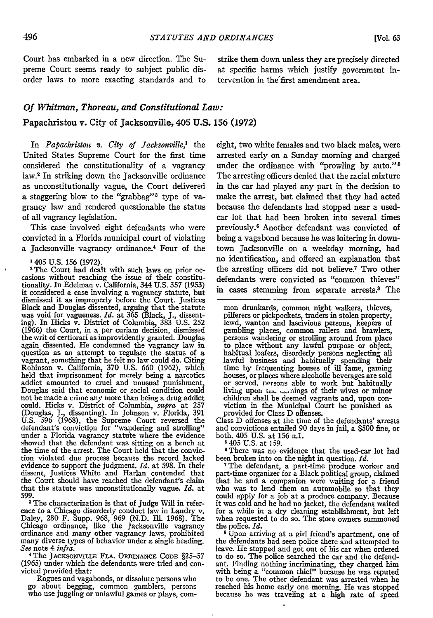preme Court seems ready to subject public dis- at specific harms which justify government inorder laws to more exacting standards and to tervention in thefirst amendment area.

Court has embarked in a new direction. The Su- strike them down unless they are precisely directed

## *Of Whitman, Thoreau, and Constitutional Law:* Papachristou v. City of Jacksonville, 405 U.S. 156 (1972)

In *Papachristou v. City of Jacksonville,'* the United States Supreme Court for the first time considered the constitutionality of a vagrancy law.2 In striking down the Jacksonville ordinance as unconstitutionally vague, the Court delivered a staggering blow to the "grabbag"' type of vagrancy law and rendered questionable the status of all vagrancy legislation.

This case involved eight defendants who were convicted in a Florida municipal court of violating a Jacksonville vagrancy ordinance.4 Four of the

1405 U.S. 156 (1972).

<sup>2</sup>The Court had dealt with such laws on prior occasions without reaching the issue of their constitu-tionality. In Edelman v. California, 344 U.S. 357 (1953) it considered a case involving a vagrancy statute, but dismissed it as improperly before the Court. Justices Black and Douglas dissented, arguing that the statute was void for vagueness. *Id.* at 365 (Black, J., dissent-ing). In Hicks v. District of Columbia, 383 U.S. 252 (1966) the Court, in a per curiam decision, dismissed the writ of certiorari as improvidently granted. Douglas again dissented. He condemned the vagrancy law in question as an attempt to regulate the status of a Robinson v. California, 370 U.S. 660 (1962), which held that imprisonment for merely being a narcotics addict amounted to cruel and unusual punishment, Douglas said that economic or social condition could not be made a crime any more than being a drug addict could. Hicks v. District of Columbia, *supra* at 257 (Douglas, J., dissenting). In Johnson v. Florida, 391 U.S. 596 (1968), the Supreme Court reversed the defendant's conviction for "wandering and strolling" under a Florida vagrancy statute where the evidence showed that the defendant was sitting on a bench at the time of the arrest. The Court held that the conviction violated due process because the record lacked evidence to support the judgment. *Id.* at 598. In their dissent, Justices White and Harlan contended that the Court should have reached the defendant's claim that the statute was unconstitutionally vague. *Id.* at

599.<br><sup>3</sup> The characterization is that of Judge Will in refer-<sup>3</sup>The characterization is that of Judge Will in refer-<br>ence to a Chicago disorderly conduct law in Landry v.<br>Daley, 280 F. Supp. 968, 969 (N.D. Ill. 1968). The Chicago ordinance, like the Jacksonville vagrancy ordinance and many other vagrancy laws, prohibited ordinance and many other vagrancy laws, prohibited many diverse types of behavior under a single heading. See note  $4 \text{ infra}$ .

*See* note 4 infra. 4The **JACKSONVrLE** FLA. ORDINANCE **CODE** §25-57 (1965) under which the defendants were tried and con- victed provided that:

Rogues and vagabonds, or dissolute persons who go about begging, common gamblers, persons who use juggling or unlawful games or plays, com-

eight, two white females and two black males, were arrested early on a Sunday morning and charged under the ordinance with "prowling by auto."<sup>5</sup> The arresting officers denied that the racial mixture in the car had played any part in the decision to make the arrest, but claimed that they had acted because the defendants had stopped near a usedcar lot that had been broken into several times previously.6 Another defendant was convicted of being a vagabond because he was loitering in downtown Jacksonville on a weekday morning, had no identification, and offered an explanation that the arresting officers did not believe.<sup>7</sup> Two other defendants were convicted as "common thieves" in cases stemming from separate arrests.<sup>8</sup> The

mon drunkards, common night walkers, thieves, pilferers or pickpockets, traders in stolen property, lewd, wanton and lascivious persons, keepers of gambling places, common railers and brawlers, persons wandering or strolling around from place to place without any lawful purpose or object, habitual loafers, disorderly persons neglecting all lawful business and habitually spending their time by frequenting houses of ill fame, gaming houses, or places where alcoholic beverages are sold or served, nersons able to work but habitually living upon the carnings of their wives or minor children shall be deemed vagrants and, upon con- viction in the Municipal Court be punished as provided for Class D offenses.

provided for Class D offenses.<br>Class D offenses at the time of the defendants' arrests and convictions entailed 90 days in jail, a \$500 fine, or both. 405 U.S. at 156 n.1.

5405 U.S. at 159.

<sup>6</sup> There was no evidence that the used-car lot had been broken into on the night in question. *Id*. been broken into on the night in question. *Id.* <sup>7</sup>The defendant, a part-time produce worker and

part-time organizer for a Black political group, claimed that he and a companion were waiting for a friend who was to lend them an automobile so that they could apply for a job at a produce company. Because it was cold and he had no jacket, the defendant waited for a while in a dry cleaning establishment, but left when requested to do so. The store owners summoned the police. *Id.*

**8** Upon arriving at a girl friend's apartment, one of the defendants had seen police there and attempted to leave. He stopped and got out of his car when ordered to do so. The police searched the car and the defendant. Finding nothing incriminating, they charged him with being a. "common thief" because he was reputed to be one. The other defendant was arrested when he reached his home early one morning. He was stopped because he was traveling at a high rate of speed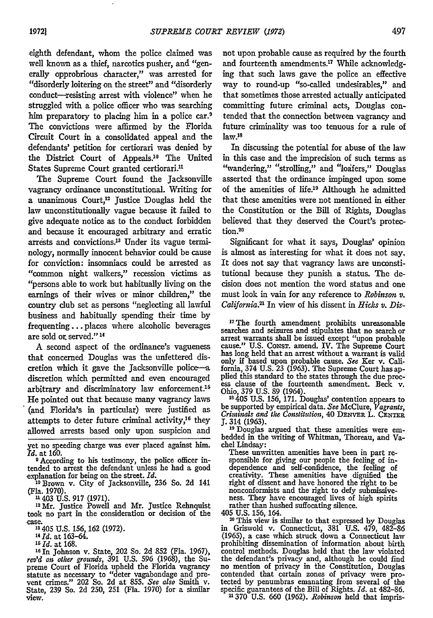eighth defendant, whom the police claimed was well known as a thief, narcotics pusher, and "generally opprobrious character," was arrested for "disorderly loitering on the street" and "disorderly conduct-resisting arrest with violence" when he struggled with a police officer who was searching him preparatory to placing him in a police car.9 The convictions were affirmed by the Florida Circuit Court in a consolidated appeal and the defendants' petition for certiorari was denied by the District Court of Appeals.'0 The United States Supreme Court granted certiorari.<sup>11</sup>

The Supreme Court found the Jacksonville vagrancy ordinance unconstitutional. Writing for a unanimous Court, $12$  Justice Douglas held the law unconstitutionally vague because it failed to give adequate notice as to the conduct forbidden and because it encouraged arbitrary and erratic arrests and convictions.<sup>13</sup> Under its vague terminology, normally innocent behavior could be cause for conviction: insomniacs could be arrested as "common night walkers," recession victims as "persons able to work but habitually living on the earnings of their wives or minor children," the country club set as persons "neglecting all lawful business and habitually spending their time by frequenting... places where alcoholic beverages are sold or served." **14**

A second aspect of the ordinance's vagueness that concerned Douglas was the unfettered discretion which it gave the Jacksonville police-a discretion which permitted and even encouraged arbitrary and discriminatory law enforcement.<sup>15</sup> He pointed out that because many vagrancy laws '(and Florida's in particular) were justified as attempts to deter future criminal activity,<sup>16</sup> they allowed arrests based only upon suspicion and

yet no speeding charge was ever placed against him. *Id.* at 160.

**9** According to his testimony, the police officer intended to arrest the defendant unless he had a good explanation for being on the street. *Id.*

**10** Brown v. City of Jacksonville, 236 So. 2d 141

(Fla. **1970).** <sup>4</sup>**43** U.S. **917 (1971).**

<sup>12</sup>**Mr.** Justice Powell and Mr. Justice Rehnquist took no part in the consideration or decision of the case.<br>
<sup>33</sup> 405 U.S. 156, 162 (1972).<br>
<sup>14</sup> *Id.* at 163-64.

*Is Id.* at **168.**

**16** In Johnson v. State, 202 So. 2d 852 (Fla. 1967), *rev'd on* other *grounds,* **391 U.S. 596** (1968), the Su-preme Court of Florida upheld the Florida vagrancy statute as necessary to "deter vagabondage and pre-vent crimes." 202 So. **2d** at **855.** *See also* Smith v. State, **239** So. **2d 250, 251** (Fla. **1970)** for a similar view.

not upon probable cause as required by the fourth and fourteenth amendments.<sup>17</sup> While acknowledging that such laws gave the police an effective way to round-up "so-called undesirables," and that sometimes those arrested actually anticipated committing future criminal acts, Douglas contended that the connection between vagrancy and future criminality was too tenuous for a rule of law.18

In discussing the potential for abuse of the law in this case and the imprecision of such terms as "wandering," "strolling," and "loafers," Douglas asserted that the ordinance impinged upon some of the amenities of life.<sup>19</sup> Although he admitted that these amenities were not mentioned in either the Constitution or the Bill of Rights, Douglas believed that they deserved the Court's protection.20

Significant for what it says, Douglas' opinion is almost as interesting for what it does not say. It does not say that vagrancy laws are unconstitutional because they punish a status. The decision does not mention the word status and one must look in vain for any reference to *Robinson v.* California.<sup>21</sup> In view of his dissent in *Hicks v. Dis-*

17The fourth amendment prohibits unreasonable searches and seizures and stipulates that no search or arrest warrants shall be issued except "upon probable cause." U.S. CoNsT. amend. IV. The Supreme Court has long held that an arrest without a warrant is valid only if based upon probable cause. *See* Ker v. California, 374 U.S. **23** (1963). The Supreme Court has applied this standard to the states through the due proc- ess clause of the fourteenth amendment. Beck v. Ohio, **379** U.S. **89** (1964).

**Is405** U.S. **156, 171.** Douglas' contention appears to be supported by empirical data. *See* McClure, *Vagrants, Criminals and the Constitution,* 40 DENVER L. **CENTER**

<sup>19</sup> Douglas argued that these amenities were em-<br>bedded in the writing of Whitman, Thoreau, and Va-

chel Lindsay: These unwritten amenities have been in part re- sponsible for giving our people the feeling of independence and self-confidence, the feeling of creativity. These amenities have dignified the right of dissent and have honored the right to be nonconformists and the right to defy submissive- ness. They have encouraged lives of high spirits rather than hushed suffocating silence.

405 U.S. 156, 164.

20 This view is similar to that expressed by Douglas in Griswold v. Connecticut, 381 U.S. 479, 482-86 (1965), a case which struck down a Connecticut law prohibiting dissemination of information about birth control methods. Douglas held that the law violated the defendant's privacy and, although he could find no mention of privacy in the Constitution, Douglas contended that certain zones of privacy were pro- tected by penumbras emanating from several of the specific guarantees of the Bill of Rights. *Id.* at 482-86.

"370 **U.S.** 660 (1962). *Robinson* held that impris-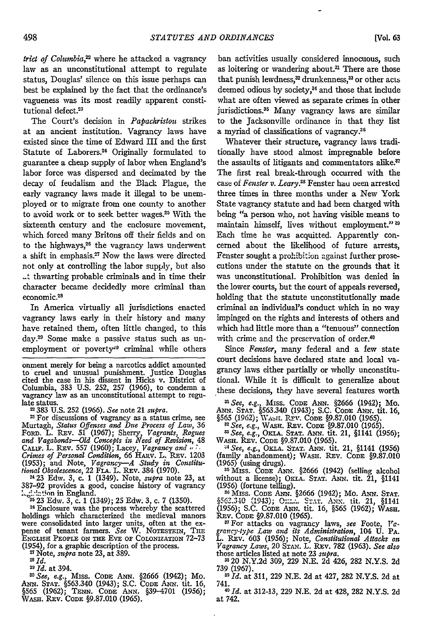*trict of Columbia,22* where he attacked a vagrancy law as an unconstitutional attempt to regulate status, Douglas' silence on this issue perhaps can best be explained by the fact that the ordinance's vagueness was its most readily apparent constitutional defect.<sup>23</sup>

The Court's decision in *Papachristou* strikes at an ancient institution. Vagrancy laws have existed since the time of Edward **HI** and the first Statute of Laborers.<sup>24</sup> Originally formulated to guarantee a cheap supply of labor when England's labor force was dispersed and decimated by the decay of feudalism and the Black Plague, the early vagrancy laws made it illegal to be unemployed or to migrate from one county to another to avoid work or to seek better wages.<sup>25</sup> With the sixteenth century and the enclosure movement, which forced many Britons off their fields and on to the highways, 26 the vagrancy laws underwent a shift in emphasis.27 Now the laws were directed not only at controlling the labor supply, but also **-** thwarting probable criminals and in time their character became decidedly more criminal than economic.<sup>2</sup> 8

In America virtually all jurisdictions enacted vagrancy laws early in their history and many have retained them, often little changed, to this day.29 Some make a passive status such as unemployment or poverty<sup>30</sup> criminal while others

onment merely for being a narcotics addict amounted to cruel and unusual punishment. Justice Douglas cited the case in his dissent in Hicks v. District of Columbia, 383 U.S. 252, 257 (1966), to condemn a vagrancy law as an unconstitutional attempt to regu-<br>late status. "383 U.S. 252 (1966). *See* note 21 *supra*. "383 U.S. 252 (1966). *See* note 21 *supra.* 2For discussions

Murtagh, *Status Offenses and Due Process of Law,* 36 FoRD. L. REv. 51 (1967); Sherry, *Vagrants, Rogues and Vagabonds-Old Concepts in Need of Revision,* 48 CALiF. L. REv. 557 (1960); Lacey, *Vagrancy and,,* **%** *Crimes of Personal Condition,* 66 HA.v. L. REv. 1203 (1953); and Note, *Vagrancy--A Study in Constitu-tional Obsolescence,* 22 FLA. L. REv. 384 (1970). " 23 Edw. 3, c. 1 (1349). Note, *supra* note 23, at

387-92 provides a good, concise history of vagrancy 1,-::lation in England.<br><sup>25</sup> 23 Edw. 3, c. 1 (1349); 25 Edw. 3, c. 7 (1350).

<sup>26</sup> Enclosure was the process whereby the scattered holdings which characterized the medieval manors holdings which characterized the medieval manors were consolidated into larger units, often at the ex-<br>pense of tenant farmers. *See W. NOTESTERN, THE*<br>ENGLISH PEOPLE ON THE EVE OF COLONIZATION 72-73 (1954), for a graphic description of the process.

N Note, *supra* note 23, at 389.

*8Id.*

*2Id.* at 394.

*"0See, e.g.,* Miss. CODE **ANN.** §2666 (1942); Mo. ANN. **STAT.** §563.340 (1943); S.C. CODE ANN. tit. 16, §565 (1962); TENN. CODE ANN. §39–4701 (1956)<br>Wash. Rev. Code §9.87.010 (1965).

ban activities usually considered innocuous, such as loitering or wandering about.<sup>31</sup> There are those that punish lewdness,<sup>32</sup> drunkenness,<sup>33</sup> or other acts deemed odious by society,<sup>34</sup> and those that include what are often viewed as separate crimes in other jurisdictions.<sup>35</sup> Many vagrancy laws are similar to the Jacksonville ordinance in that they list a myriad of classifications of vagrancy. <sup>36</sup>

Whatever their structure, vagrancy laws traditionally have stood almost impregnable before the assaults of litigants and commentators alike. $\sqrt[n]{ }$ The first real break-through occurred with the case of *Fenster v. Leary*.<sup>38</sup> Fenster hau veen arrested three times in three months under a New York State vagrancy statute and had been charged with being "a person who, not having visible means to maintain himself, lives without employment." **9** Each time he was acquitted. Apparently concerned about the likelihood of future arrests, Fenster sought a prohibition against further prosecutions under the statute on the grounds that it was unconstitutional. Prohibition was denied in the lower courts, but the court of appeals reversed, holding that the statute unconstitutionally made criminal an individual's conduct which in no way impinged on the rights and interests of others and which had little more than a "tenuous" connection with crime and the preservation of order.<sup>40</sup>

Since *Fenster,* many federal and a few state court decisions have declared state and local vagrancy laws either partially or wholly unconstitutional. While it is difficult to generalize about these decisions, they have several features worth

*"1See, e.g.,* Miss. CODE **ANN.** §2666 (1942); Mo. ANN. **STAT.** §563,340 (1943); S.C. **CODE** *ANN.* tit. 16, §565 (1962); Xasox. Rrv. CODE §9.87.010 (1965).

<sup>" 22</sup> See, e.g., Wash. REv. Code §9.87.010 (1965).<br><sup>23</sup> See, e.g., Okla. Stat. Ann. tit. 21, §1141 (1956)<sub>.</sub><br>Wash. Rev. Code §9.87.010 (1965).

-4 *See, e.g.,* OKLA. **STAT.** ANN. tit. 21, §1141 (1956) (family abandonment); WASH. REV. CODE §9.87.010 (1965) (using drugs).

**<sup>36</sup>**Miss. CODE **ANN.** §2666 (1942) (selling alcohol without a license); OxLa. **STAT. ANN.** tit. 21, §1141 (1956) (fortune telling). **36 Miss.** CODE ANN. §2666 (1942); Mo. ANN. **STAT.**

§563.340 (1943); O:z.-. SIAT. ANx. tit. 21, §1141 (1956); S.C. CODE ANN. tit. 16, §565 (1962); WASH.

Rzv. CODE §9.87.010 (1965). " For attacks on vagrancy laws, *see* Foote, *rc- grancy-type Law and its Administration,* 104 **U.** PA. L. REv. 603 (1956); Note, *Constitutional Attacks on Vagrancy Laws,* 20 **STAN.** L. REv. 782 (1963). *See also* those articles listed at note 23 *supra.* "20 N.Y.2d 309, 229 N.E. 2d 426, 282 N.Y.S. 2d

739 (1967). *11 Id.* at 311, 229 N.E. 2d at 427, 282 N.Y.S. 2d at

741. **<sup>40</sup>***Id.* at 312-13, 229 N.E. 2d at 428, 282 N.Y.S. 2d

at 742.